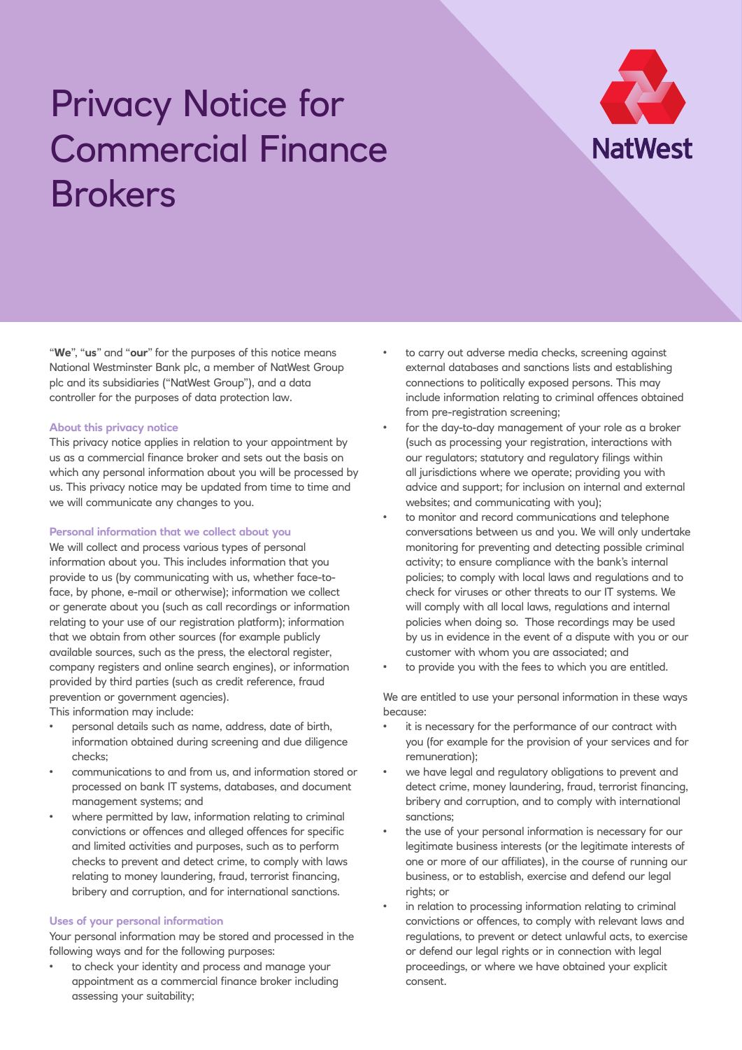# Privacy Notice for Commercial Finance Brokers



"**We**", "**us**" and "**our**" for the purposes of this notice means National Westminster Bank plc, a member of NatWest Group plc and its subsidiaries ("NatWest Group"), and a data controller for the purposes of data protection law.

#### **About this privacy notice**

This privacy notice applies in relation to your appointment by us as a commercial finance broker and sets out the basis on which any personal information about you will be processed by us. This privacy notice may be updated from time to time and we will communicate any changes to you.

## **Personal information that we collect about you**

We will collect and process various types of personal information about you. This includes information that you provide to us (by communicating with us, whether face-toface, by phone, e-mail or otherwise); information we collect or generate about you (such as call recordings or information relating to your use of our registration platform); information that we obtain from other sources (for example publicly available sources, such as the press, the electoral register, company registers and online search engines), or information provided by third parties (such as credit reference, fraud prevention or government agencies).

This information may include:

- personal details such as name, address, date of birth, information obtained during screening and due diligence checks;
- communications to and from us, and information stored or processed on bank IT systems, databases, and document management systems; and
- where permitted by law, information relating to criminal convictions or offences and alleged offences for specific and limited activities and purposes, such as to perform checks to prevent and detect crime, to comply with laws relating to money laundering, fraud, terrorist financing, bribery and corruption, and for international sanctions.

## **Uses of your personal information**

Your personal information may be stored and processed in the following ways and for the following purposes:

to check your identity and process and manage your appointment as a commercial finance broker including assessing your suitability;

- to carry out adverse media checks, screening against external databases and sanctions lists and establishing connections to politically exposed persons. This may include information relating to criminal offences obtained from pre-registration screening;
- for the day-to-day management of your role as a broker (such as processing your registration, interactions with our regulators; statutory and regulatory filings within all jurisdictions where we operate; providing you with advice and support; for inclusion on internal and external websites; and communicating with you);
- to monitor and record communications and telephone conversations between us and you. We will only undertake monitoring for preventing and detecting possible criminal activity; to ensure compliance with the bank's internal policies; to comply with local laws and regulations and to check for viruses or other threats to our IT systems. We will comply with all local laws, regulations and internal policies when doing so. Those recordings may be used by us in evidence in the event of a dispute with you or our customer with whom you are associated; and
- to provide you with the fees to which you are entitled.

We are entitled to use your personal information in these ways because:

- it is necessary for the performance of our contract with you (for example for the provision of your services and for remuneration);
- we have legal and regulatory obligations to prevent and detect crime, money laundering, fraud, terrorist financing, bribery and corruption, and to comply with international sanctions;
- the use of your personal information is necessary for our legitimate business interests (or the legitimate interests of one or more of our affiliates), in the course of running our business, or to establish, exercise and defend our legal rights; or
- in relation to processing information relating to criminal convictions or offences, to comply with relevant laws and regulations, to prevent or detect unlawful acts, to exercise or defend our legal rights or in connection with legal proceedings, or where we have obtained your explicit consent.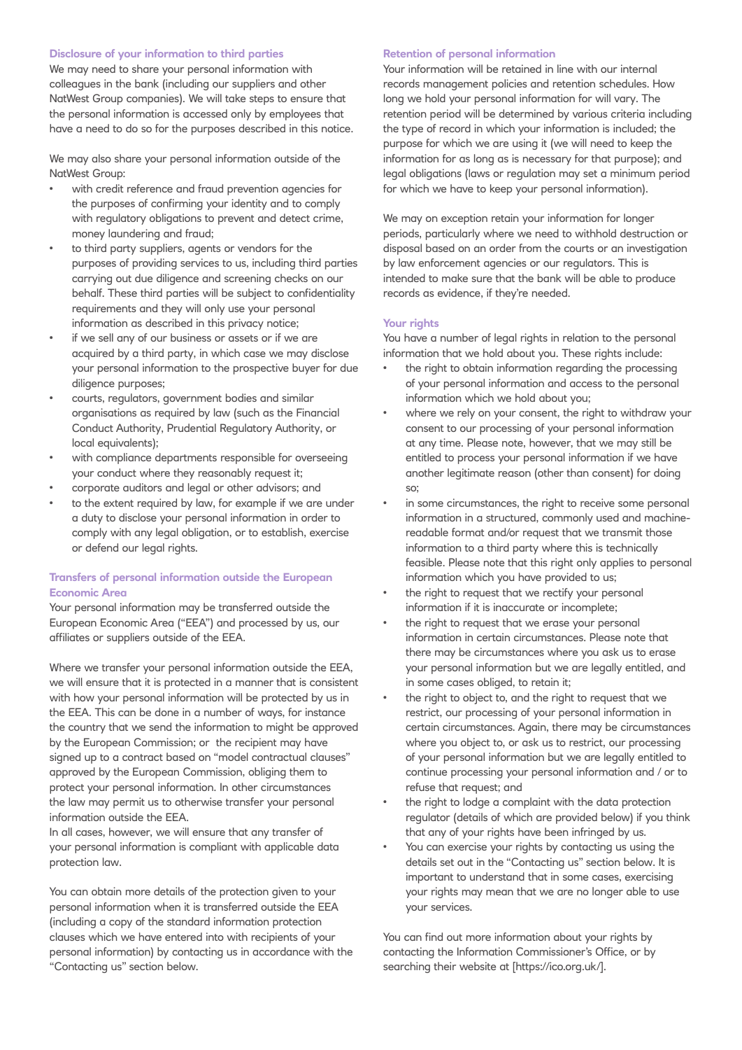#### **Disclosure of your information to third parties**

We may need to share your personal information with colleagues in the bank (including our suppliers and other NatWest Group companies). We will take steps to ensure that the personal information is accessed only by employees that have a need to do so for the purposes described in this notice.

We may also share your personal information outside of the NatWest Group:

- with credit reference and fraud prevention agencies for the purposes of confirming your identity and to comply with regulatory obligations to prevent and detect crime, money laundering and fraud;
- to third party suppliers, agents or vendors for the purposes of providing services to us, including third parties carrying out due diligence and screening checks on our behalf. These third parties will be subject to confidentiality requirements and they will only use your personal information as described in this privacy notice;
- if we sell any of our business or assets or if we are acquired by a third party, in which case we may disclose your personal information to the prospective buyer for due diligence purposes;
- courts, regulators, government bodies and similar organisations as required by law (such as the Financial Conduct Authority, Prudential Regulatory Authority, or local equivalents);
- with compliance departments responsible for overseeing your conduct where they reasonably request it;
- corporate auditors and legal or other advisors; and
- to the extent required by law, for example if we are under a duty to disclose your personal information in order to comply with any legal obligation, or to establish, exercise or defend our legal rights.

## **Transfers of personal information outside the European Economic Area**

Your personal information may be transferred outside the European Economic Area ("EEA") and processed by us, our affiliates or suppliers outside of the EEA.

Where we transfer your personal information outside the EEA, we will ensure that it is protected in a manner that is consistent with how your personal information will be protected by us in the EEA. This can be done in a number of ways, for instance the country that we send the information to might be approved by the European Commission; or the recipient may have signed up to a contract based on "model contractual clauses" approved by the European Commission, obliging them to protect your personal information. In other circumstances the law may permit us to otherwise transfer your personal information outside the EEA.

In all cases, however, we will ensure that any transfer of your personal information is compliant with applicable data protection law.

You can obtain more details of the protection given to your personal information when it is transferred outside the EEA (including a copy of the standard information protection clauses which we have entered into with recipients of your personal information) by contacting us in accordance with the "Contacting us" section below.

### **Retention of personal information**

Your information will be retained in line with our internal records management policies and retention schedules. How long we hold your personal information for will vary. The retention period will be determined by various criteria including the type of record in which your information is included; the purpose for which we are using it (we will need to keep the information for as long as is necessary for that purpose); and legal obligations (laws or regulation may set a minimum period for which we have to keep your personal information).

We may on exception retain your information for longer periods, particularly where we need to withhold destruction or disposal based on an order from the courts or an investigation by law enforcement agencies or our regulators. This is intended to make sure that the bank will be able to produce records as evidence, if they're needed.

#### **Your rights**

You have a number of legal rights in relation to the personal information that we hold about you. These rights include:

- the right to obtain information regarding the processing of your personal information and access to the personal information which we hold about you;
- where we rely on your consent, the right to withdraw your consent to our processing of your personal information at any time. Please note, however, that we may still be entitled to process your personal information if we have another legitimate reason (other than consent) for doing so;
- in some circumstances, the right to receive some personal information in a structured, commonly used and machinereadable format and/or request that we transmit those information to a third party where this is technically feasible. Please note that this right only applies to personal information which you have provided to us;
- the right to request that we rectify your personal information if it is inaccurate or incomplete;
- the right to request that we erase your personal information in certain circumstances. Please note that there may be circumstances where you ask us to erase your personal information but we are legally entitled, and in some cases obliged, to retain it;
- the right to object to, and the right to request that we restrict, our processing of your personal information in certain circumstances. Again, there may be circumstances where you object to, or ask us to restrict, our processing of your personal information but we are legally entitled to continue processing your personal information and / or to refuse that request; and
- the right to lodge a complaint with the data protection regulator (details of which are provided below) if you think that any of your rights have been infringed by us.
- You can exercise your rights by contacting us using the details set out in the "Contacting us" section below. It is important to understand that in some cases, exercising your rights may mean that we are no longer able to use your services.

You can find out more information about your rights by contacting the Information Commissioner's Office, or by searching their website at [https://ico.org.uk/].